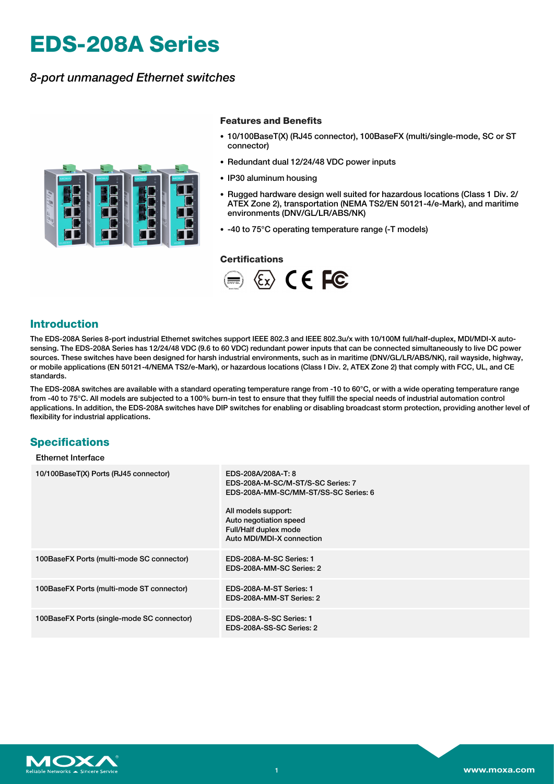# **EDS-208A Series**

# *8-port unmanaged Ethernet switches*



## **Features and Benefits**

- 10/100BaseT(X) (RJ45 connector), 100BaseFX (multi/single-mode, SC or ST connector)
- Redundant dual 12/24/48 VDC power inputs
- IP30 aluminum housing
- Rugged hardware design well suited for hazardous locations (Class 1 Div. 2/ ATEX Zone 2), transportation (NEMA TS2/EN 50121-4/e-Mark), and maritime environments (DNV/GL/LR/ABS/NK)
- -40 to 75°C operating temperature range (-T models)

### **Certifications**



# **Introduction**

The EDS-208A Series 8-port industrial Ethernet switches support IEEE 802.3 and IEEE 802.3u/x with 10/100M full/half-duplex, MDI/MDI-X autosensing. The EDS-208A Series has 12/24/48 VDC (9.6 to 60 VDC) redundant power inputs that can be connected simultaneously to live DC power sources. These switches have been designed for harsh industrial environments, such as in maritime (DNV/GL/LR/ABS/NK), rail wayside, highway, or mobile applications (EN 50121-4/NEMA TS2/e-Mark), or hazardous locations (Class I Div. 2, ATEX Zone 2) that comply with FCC, UL, and CE standards.

The EDS-208A switches are available with a standard operating temperature range from -10 to  $60^{\circ}$ C, or with a wide operating temperature range from -40 to 75°C. All models are subjected to a 100% burn-in test to ensure that they fulfill the special needs of industrial automation control applications. In addition, the EDS-208A switches have DIP switches for enabling or disabling broadcast storm protection, providing another level of flexibility for industrial applications.

# **Specifications**

## Ethernet Interface

| 10/100BaseT(X) Ports (RJ45 connector)      | EDS-208A/208A-T: 8<br>EDS-208A-M-SC/M-ST/S-SC Series: 7<br>EDS-208A-MM-SC/MM-ST/SS-SC Series: 6<br>All models support:<br>Auto negotiation speed<br>Full/Half duplex mode<br>Auto MDI/MDI-X connection |
|--------------------------------------------|--------------------------------------------------------------------------------------------------------------------------------------------------------------------------------------------------------|
| 100BaseFX Ports (multi-mode SC connector)  | EDS-208A-M-SC Series: 1<br>EDS-208A-MM-SC Series: 2                                                                                                                                                    |
| 100BaseFX Ports (multi-mode ST connector)  | EDS-208A-M-ST Series: 1<br>EDS-208A-MM-ST Series: 2                                                                                                                                                    |
| 100BaseFX Ports (single-mode SC connector) | EDS-208A-S-SC Series: 1<br>EDS-208A-SS-SC Series: 2                                                                                                                                                    |

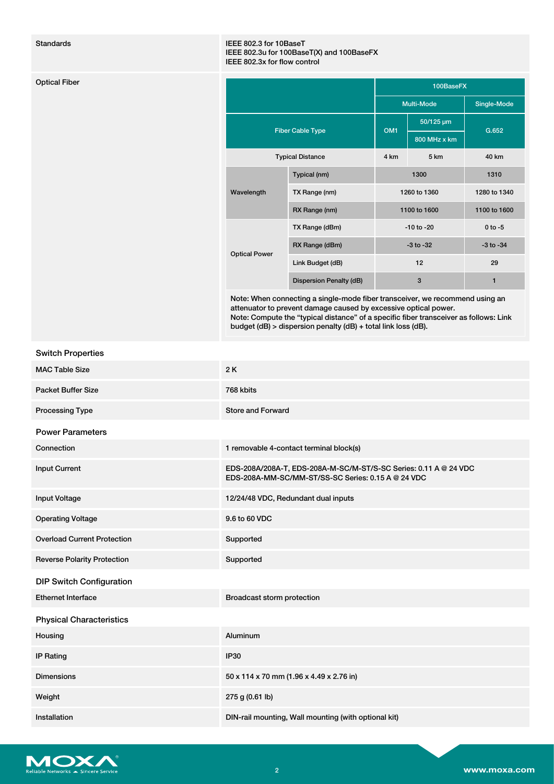### Standards IEEE 802.3 for 10BaseT IEEE 802.3u for 100BaseT(X) and 100BaseFX IEEE 802.3x for flow control

|                         |                                |                 | 100BaseFX      |               |
|-------------------------|--------------------------------|-----------------|----------------|---------------|
|                         |                                |                 | Multi-Mode     | Single-Mode   |
| <b>Fiber Cable Type</b> |                                | OM <sub>1</sub> | 50/125 µm      | G.652         |
|                         |                                |                 | 800 MHz x km   |               |
|                         | <b>Typical Distance</b>        | 4 km            | 5 km           | 40 km         |
| Wavelength              | Typical (nm)                   |                 | 1300           | 1310          |
|                         | TX Range (nm)                  |                 | 1260 to 1360   | 1280 to 1340  |
|                         | RX Range (nm)                  |                 | 1100 to 1600   | 1100 to 1600  |
| <b>Optical Power</b>    | TX Range (dBm)                 |                 | $-10$ to $-20$ | $0 to -5$     |
|                         | RX Range (dBm)                 |                 | $-3$ to $-32$  | $-3$ to $-34$ |
|                         | Link Budget (dB)               |                 | 12             | 29            |
|                         | <b>Dispersion Penalty (dB)</b> |                 | $\mathbf{3}$   | 1             |

Note: When connecting a single-mode fiber transceiver, we recommend using an attenuator to prevent damage caused by excessive optical power. Note: Compute the "typical distance" of a specific fiber transceiver as follows: Link budget (dB) > dispersion penalty (dB) + total link loss (dB).

# Switch Properties

| <b>MAC Table Size</b>              | 2K                                                                                                                     |
|------------------------------------|------------------------------------------------------------------------------------------------------------------------|
| <b>Packet Buffer Size</b>          | 768 kbits                                                                                                              |
| <b>Processing Type</b>             | <b>Store and Forward</b>                                                                                               |
| <b>Power Parameters</b>            |                                                                                                                        |
| Connection                         | 1 removable 4-contact terminal block(s)                                                                                |
| <b>Input Current</b>               | EDS-208A/208A-T, EDS-208A-M-SC/M-ST/S-SC Series: 0.11 A @ 24 VDC<br>EDS-208A-MM-SC/MM-ST/SS-SC Series: 0.15 A @ 24 VDC |
| <b>Input Voltage</b>               | 12/24/48 VDC, Redundant dual inputs                                                                                    |
| <b>Operating Voltage</b>           | 9.6 to 60 VDC                                                                                                          |
| <b>Overload Current Protection</b> | Supported                                                                                                              |
| <b>Reverse Polarity Protection</b> | Supported                                                                                                              |
| <b>DIP Switch Configuration</b>    |                                                                                                                        |
| <b>Ethernet Interface</b>          | Broadcast storm protection                                                                                             |
| <b>Physical Characteristics</b>    |                                                                                                                        |
| Housing                            | <b>Aluminum</b>                                                                                                        |
| <b>IP Rating</b>                   | <b>IP30</b>                                                                                                            |
| <b>Dimensions</b>                  | 50 x 114 x 70 mm (1.96 x 4.49 x 2.76 in)                                                                               |
| Weight                             | 275 g (0.61 lb)                                                                                                        |
| Installation                       | DIN-rail mounting, Wall mounting (with optional kit)                                                                   |

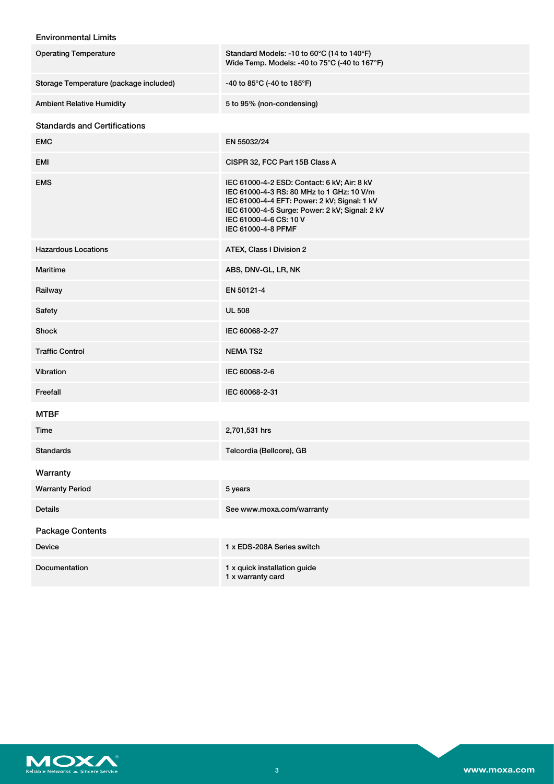# Environmental Limits

| <b>Operating Temperature</b>           | Standard Models: -10 to 60°C (14 to 140°F)<br>Wide Temp. Models: -40 to 75°C (-40 to 167°F)                                                                                                                                                |
|----------------------------------------|--------------------------------------------------------------------------------------------------------------------------------------------------------------------------------------------------------------------------------------------|
| Storage Temperature (package included) | -40 to 85°C (-40 to 185°F)                                                                                                                                                                                                                 |
| <b>Ambient Relative Humidity</b>       | 5 to 95% (non-condensing)                                                                                                                                                                                                                  |
| <b>Standards and Certifications</b>    |                                                                                                                                                                                                                                            |
| <b>EMC</b>                             | EN 55032/24                                                                                                                                                                                                                                |
| EMI                                    | CISPR 32, FCC Part 15B Class A                                                                                                                                                                                                             |
| <b>EMS</b>                             | IEC 61000-4-2 ESD: Contact: 6 kV; Air: 8 kV<br>IEC 61000-4-3 RS: 80 MHz to 1 GHz: 10 V/m<br>IEC 61000-4-4 EFT: Power: 2 kV; Signal: 1 kV<br>IEC 61000-4-5 Surge: Power: 2 kV; Signal: 2 kV<br>IEC 61000-4-6 CS: 10 V<br>IEC 61000-4-8 PFMF |
| <b>Hazardous Locations</b>             | ATEX, Class I Division 2                                                                                                                                                                                                                   |
| <b>Maritime</b>                        | ABS, DNV-GL, LR, NK                                                                                                                                                                                                                        |
| Railway                                | EN 50121-4                                                                                                                                                                                                                                 |
| Safety                                 | <b>UL 508</b>                                                                                                                                                                                                                              |
| Shock                                  | IEC 60068-2-27                                                                                                                                                                                                                             |
| <b>Traffic Control</b>                 | <b>NEMATS2</b>                                                                                                                                                                                                                             |
| Vibration                              | IEC 60068-2-6                                                                                                                                                                                                                              |
| Freefall                               | IEC 60068-2-31                                                                                                                                                                                                                             |
| <b>MTBF</b>                            |                                                                                                                                                                                                                                            |
| Time                                   | 2,701,531 hrs                                                                                                                                                                                                                              |
| <b>Standards</b>                       | Telcordia (Bellcore), GB                                                                                                                                                                                                                   |
| Warranty                               |                                                                                                                                                                                                                                            |
| <b>Warranty Period</b>                 | 5 years                                                                                                                                                                                                                                    |
| <b>Details</b>                         | See www.moxa.com/warranty                                                                                                                                                                                                                  |
| <b>Package Contents</b>                |                                                                                                                                                                                                                                            |
| <b>Device</b>                          | 1 x EDS-208A Series switch                                                                                                                                                                                                                 |
| <b>Documentation</b>                   | 1 x quick installation guide<br>1 x warranty card                                                                                                                                                                                          |

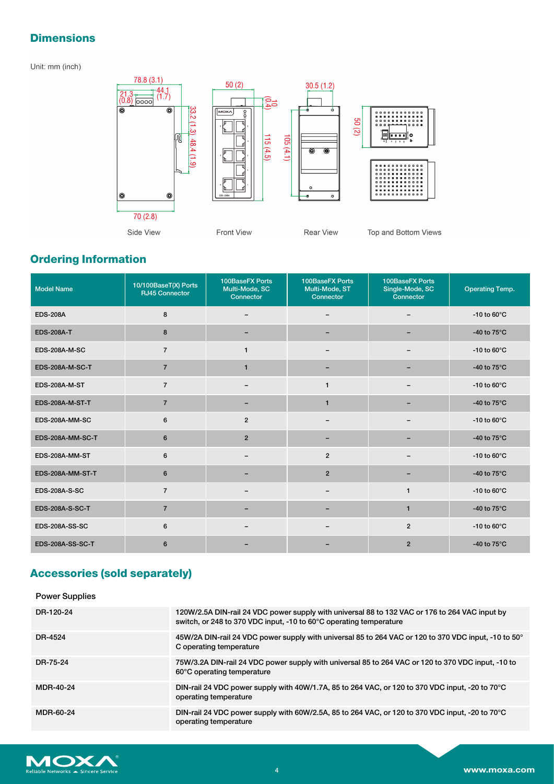# **Dimensions**

Unit: mm (inch)



# **Ordering Information**

| <b>Model Name</b>       | 10/100BaseT(X) Ports<br><b>RJ45 Connector</b> | 100BaseFX Ports<br>Multi-Mode, SC<br>Connector | <b>100BaseFX Ports</b><br>Multi-Mode, ST<br>Connector | <b>100BaseFX Ports</b><br>Single-Mode, SC<br>Connector | <b>Operating Temp.</b> |
|-------------------------|-----------------------------------------------|------------------------------------------------|-------------------------------------------------------|--------------------------------------------------------|------------------------|
| <b>EDS-208A</b>         | 8                                             |                                                |                                                       |                                                        | -10 to $60^{\circ}$ C  |
| <b>EDS-208A-T</b>       | 8                                             |                                                |                                                       |                                                        | -40 to $75^{\circ}$ C  |
| <b>EDS-208A-M-SC</b>    | $\overline{7}$                                | $\mathbf{1}$                                   |                                                       | -                                                      | -10 to $60^{\circ}$ C  |
| <b>EDS-208A-M-SC-T</b>  | $\overline{7}$                                | $\mathbf{1}$                                   |                                                       |                                                        | -40 to $75^{\circ}$ C  |
| <b>EDS-208A-M-ST</b>    | $\overline{7}$                                |                                                | $\mathbf{1}$                                          |                                                        | -10 to $60^{\circ}$ C  |
| <b>EDS-208A-M-ST-T</b>  | $\overline{7}$                                |                                                | $\mathbf{1}$                                          |                                                        | -40 to $75^{\circ}$ C  |
| EDS-208A-MM-SC          | 6                                             | $\overline{2}$                                 |                                                       |                                                        | -10 to $60^{\circ}$ C  |
| EDS-208A-MM-SC-T        | 6                                             | $\overline{2}$                                 | $\overline{\phantom{0}}$                              | -                                                      | -40 to $75^{\circ}$ C  |
| EDS-208A-MM-ST          | 6                                             |                                                | $\overline{2}$                                        |                                                        | -10 to $60^{\circ}$ C  |
| EDS-208A-MM-ST-T        | 6                                             |                                                | $\overline{2}$                                        |                                                        | -40 to $75^{\circ}$ C  |
| <b>EDS-208A-S-SC</b>    | $\overline{7}$                                | $\overline{\phantom{m}}$                       | $\qquad \qquad \blacksquare$                          | $\mathbf{1}$                                           | -10 to $60^{\circ}$ C  |
| <b>EDS-208A-S-SC-T</b>  | $\overline{7}$                                |                                                |                                                       | $\mathbf{1}$                                           | -40 to $75^{\circ}$ C  |
| <b>EDS-208A-SS-SC</b>   | 6                                             |                                                |                                                       | $\overline{2}$                                         | -10 to $60^{\circ}$ C  |
| <b>EDS-208A-SS-SC-T</b> | 6                                             |                                                |                                                       | $\overline{2}$                                         | -40 to $75^{\circ}$ C  |

# **Accessories (sold separately)**

# Power Supplies

| DR-120-24 | 120W/2.5A DIN-rail 24 VDC power supply with universal 88 to 132 VAC or 176 to 264 VAC input by<br>switch, or 248 to 370 VDC input, -10 to 60°C operating temperature |
|-----------|----------------------------------------------------------------------------------------------------------------------------------------------------------------------|
| DR-4524   | 45W/2A DIN-rail 24 VDC power supply with universal 85 to 264 VAC or 120 to 370 VDC input, -10 to 50°<br>C operating temperature                                      |
| DR-75-24  | 75W/3.2A DIN-rail 24 VDC power supply with universal 85 to 264 VAC or 120 to 370 VDC input, -10 to<br>60°C operating temperature                                     |
| MDR-40-24 | DIN-rail 24 VDC power supply with 40W/1.7A, 85 to 264 VAC, or 120 to 370 VDC input, -20 to 70°C<br>operating temperature                                             |
| MDR-60-24 | DIN-rail 24 VDC power supply with 60W/2.5A, 85 to 264 VAC, or 120 to 370 VDC input, -20 to 70°C<br>operating temperature                                             |